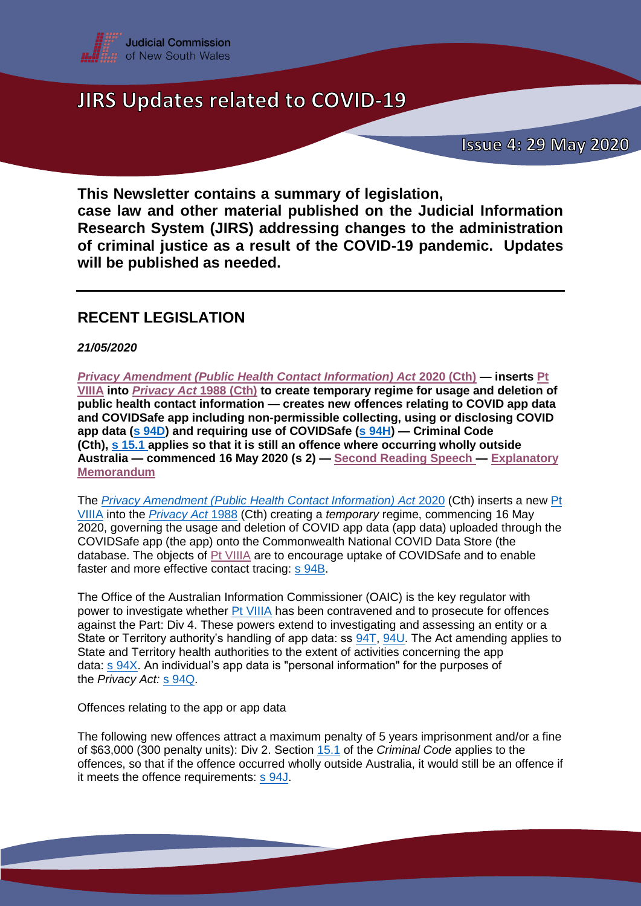

**This Newsletter contains a summary of legislation, case law and other material published on the Judicial Information Research System (JIRS) addressing changes to the administration of criminal justice as a result of the COVID-19 pandemic. Updates will be published as needed.**

### **RECENT LEGISLATION**

*21/05/2020*

*[Privacy Amendment \(Public Health Contact Information\) Act](https://www.legislation.gov.au/Details/C2020A00044)* **2020 (Cth) — inserts [Pt](https://www.legislation.gov.au/Details/C2020A00044)  [VIIIA](https://www.legislation.gov.au/Details/C2020A00044) into** *[Privacy Act](https://www.legislation.gov.au/Details/C2014C00076)* **1988 (Cth) to create temporary regime for usage and deletion of public health contact information — creates new offences relating to COVID app data and COVIDSafe app including non-permissible collecting, using or disclosing COVID app data (s [94D\)](http://www.austlii.edu.au/cgi-bin/viewdoc/au/legis/cth/num_act/pahcia2020485/sch1.html) and requiring use of COVIDSafe (s [94H\)](http://www.austlii.edu.au/cgi-bin/viewdoc/au/legis/cth/num_act/pahcia2020485/sch1.html) — Criminal Code (Cth), s [15.1](http://www8.austlii.edu.au/cgi-bin/viewdoc/au/legis/cth/consol_act/cca1995115/sch1.html) applies so that it is still an offence where occurring wholly outside Australia — commenced 16 May 2020 (s 2) — [Second Reading Speech](https://parlinfo.aph.gov.au/parlInfo/genpdf/chamber/hansards/d1b94f32-61e9-47e8-ab31-cc37f40b5093/0011/hansard_frag.pdf;fileType=application%2Fpdf) — [Explanatory](https://www.legislation.gov.au/Details/C2020B00046/Explanatory%20Memorandum/Text)  [Memorandum](https://www.legislation.gov.au/Details/C2020B00046/Explanatory%20Memorandum/Text)**

The *[Privacy Amendment \(Public Health Contact Information\) Act](https://www.legislation.gov.au/Details/C2020A00044)* 2020 (Cth) inserts a new [Pt](https://www.legislation.gov.au/Details/C2020A00044)  [VIIIA](https://www.legislation.gov.au/Details/C2020A00044) into the *[Privacy Act](https://www.legislation.gov.au/Details/C2014C00076)* 1988 (Cth) creating a *temporary* regime, commencing 16 May 2020, governing the usage and deletion of COVID app data (app data) uploaded through the COVIDSafe app (the app) onto the Commonwealth National COVID Data Store (the database. The objects of [Pt VIIIA](https://www.legislation.gov.au/Details/C2020A00044) are to encourage uptake of COVIDSafe and to enable faster and more effective contact tracing: s [94B.](https://www.legislation.gov.au/Details/C2020A00044)

The Office of the Australian Information Commissioner (OAIC) is the key regulator with power to investigate whether [Pt VIIIA](https://www.legislation.gov.au/Details/C2020A00044) has been contravened and to prosecute for offences against the Part: Div 4. These powers extend to investigating and assessing an entity or a State or Territory authority's handling of app data: ss [94T,](https://www.legislation.gov.au/Details/C2020A00044) [94U.](https://www.legislation.gov.au/Details/C2020A00044) The Act amending applies to State and Territory health authorities to the extent of activities concerning the app data: s [94X.](https://www.legislation.gov.au/Details/C2020A00044) An individual's app data is "personal information" for the purposes of the *Privacy Act:* s [94Q.](https://www.legislation.gov.au/Details/C2020A00044)

Offences relating to the app or app data

The following new offences attract a maximum penalty of 5 years imprisonment and/or a fine of \$63,000 (300 penalty units): Div 2. Section [15.1](http://www8.austlii.edu.au/cgi-bin/viewdoc/au/legis/cth/consol_act/cca1995115/sch1.html) of the *Criminal Code* applies to the offences, so that if the offence occurred wholly outside Australia, it would still be an offence if it meets the offence requirements: s [94J.](https://www.legislation.gov.au/Details/C2020A00044)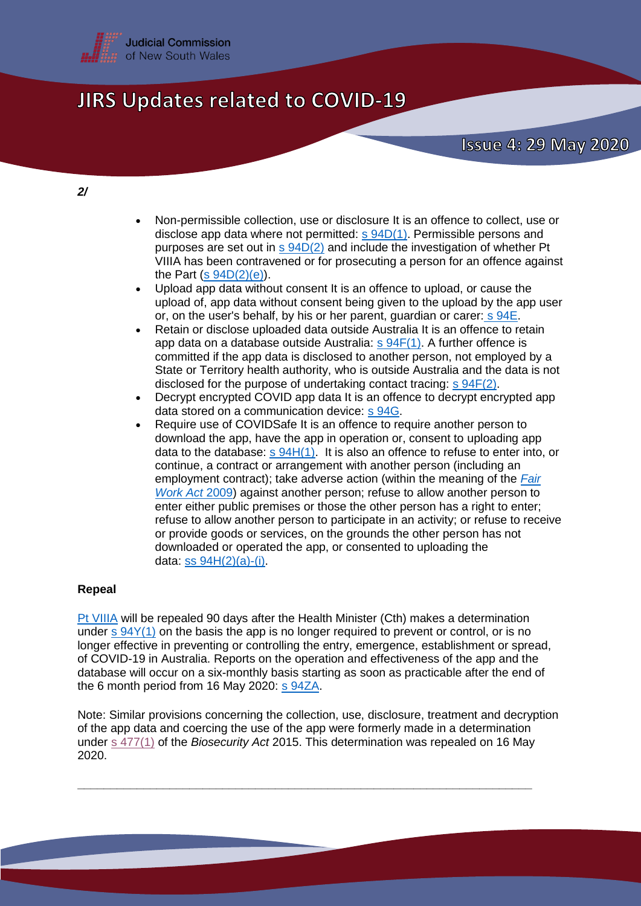

#### *2/*

- Non-permissible collection, use or disclosure It is an offence to collect, use or disclose app data where not permitted: s [94D\(1\).](https://www.legislation.gov.au/Details/C2020A00044) Permissible persons and purposes are set out in  $s$  [94D\(2\)](https://www.legislation.gov.au/Details/C2020A00044) and include the investigation of whether Pt VIIIA has been contravened or for prosecuting a person for an offence against the Part  $(s 94D(2)(e))$  $(s 94D(2)(e))$ .
- Upload app data without consent It is an offence to upload, or cause the upload of, app data without consent being given to the upload by the app user or, on the user's behalf, by his or her parent, guardian or carer: s [94E.](https://www.legislation.gov.au/Details/C2020A00044)
- Retain or disclose uploaded data outside Australia It is an offence to retain app data on a database outside Australia: s [94F\(1\).](https://www.legislation.gov.au/Details/C2020A00044) A further offence is committed if the app data is disclosed to another person, not employed by a State or Territory health authority, who is outside Australia and the data is not disclosed for the purpose of undertaking contact tracing: s [94F\(2\).](https://jirs.judcom.nsw.gov.au/php/legn_docs.php?path=currlaw/cthact/2020-44&anchor=sch1div2cl94f)
- Decrypt encrypted COVID app data It is an offence to decrypt encrypted app data stored on a communication device: s [94G.](https://www.legislation.gov.au/Details/C2020A00044)
- Require use of COVIDSafe It is an offence to require another person to download the app, have the app in operation or, consent to uploading app data to the database: s [94H\(1\).](https://www.legislation.gov.au/Details/C2020A00044) It is also an offence to refuse to enter into, or continue, a contract or arrangement with another person (including an employment contract); take adverse action (within the meaning of the *[Fair](http://www6.austlii.edu.au/cgi-bin/viewdb/au/legis/cth/consol_act/fwa2009114/)  [Work Act](http://www6.austlii.edu.au/cgi-bin/viewdb/au/legis/cth/consol_act/fwa2009114/)* 2009) against another person; refuse to allow another person to enter either public premises or those the other person has a right to enter; refuse to allow another person to participate in an activity; or refuse to receive or provide goods or services, on the grounds the other person has not downloaded or operated the app, or consented to uploading the data: ss [94H\(2\)\(a\)-\(i\).](hhttps://www.legislation.gov.au/Details/C2020A00044)

### **Repeal**

[Pt VIIIA](https://www.legislation.gov.au/Details/C2020A00044) will be repealed 90 days after the Health Minister (Cth) makes a determination under s [94Y\(1\)](https://www.legislation.gov.au/Details/C2020A00044) on the basis the app is no longer required to prevent or control, or is no longer effective in preventing or controlling the entry, emergence, establishment or spread, of COVID-19 in Australia. Reports on the operation and effectiveness of the app and the database will occur on a six-monthly basis starting as soon as practicable after the end of the 6 month period from 16 May 2020: s [94ZA.](https://www.legislation.gov.au/Details/C2020A00044)

Note: Similar provisions concerning the collection, use, disclosure, treatment and decryption of the app data and coercing the use of the app were formerly made in a determination under s [477\(1\)](https://www.legislation.gov.au/Details/C2017C00303) of the *Biosecurity Act* 2015. This determination was repealed on 16 May 2020.

**\_\_\_\_\_\_\_\_\_\_\_\_\_\_\_\_\_\_\_\_\_\_\_\_\_\_\_\_\_\_\_\_\_\_\_\_\_\_\_\_\_\_\_\_\_\_\_\_\_\_\_\_\_\_\_\_\_\_\_\_\_\_\_\_\_\_\_\_\_**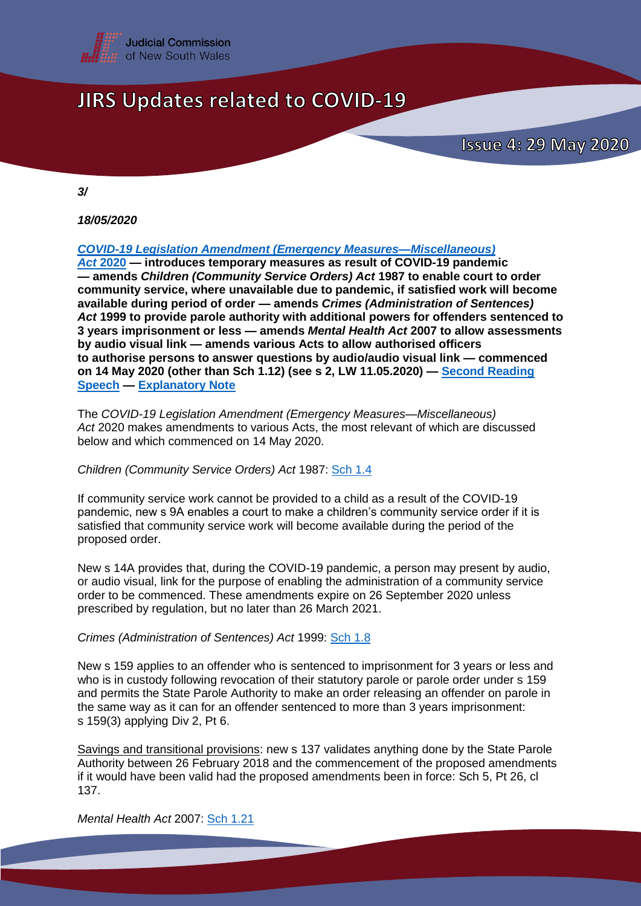

**Issue 4: 29 May 2020** 

*3/*

*18/05/2020*

*[COVID-19 Legislation Amendment \(Emergency Measures—Miscellaneous\)](https://www.parliament.nsw.gov.au/bill/files/3745/Passed%20by%20both%20Houses.pdf)* 

*Act* **[2020](https://www.parliament.nsw.gov.au/bill/files/3745/Passed%20by%20both%20Houses.pdf) — introduces temporary measures as result of COVID-19 pandemic — amends** *Children (Community Service Orders) Act* **1987 to enable court to order community service, where unavailable due to pandemic, if satisfied work will become available during period of order — amends** *Crimes (Administration of Sentences) Act* **1999 to provide parole authority with additional powers for offenders sentenced to 3 years imprisonment or less — amends** *Mental Health Act* **2007 to allow assessments by audio visual link — amends various Acts to allow authorised officers to authorise persons to answer questions by audio/audio visual link — commenced on 14 May 2020 (other than Sch 1.12) (see s 2, LW 11.05.2020) — [Second Reading](https://www.parliament.nsw.gov.au/Hansard/Pages/HansardResult.aspx#/docid/)  [Speech](https://www.parliament.nsw.gov.au/Hansard/Pages/HansardResult.aspx#/docid/) — [Explanatory Note](https://www.parliament.nsw.gov.au/bill/files/3745/XN%20COVID-19%20Legislation%20Amendment%20(Emergency%20Measures%E2%80%94Miscellaneous)%20Bill%202020.pdf)** 

The *COVID-19 Legislation Amendment (Emergency Measures—Miscellaneous) Act* 2020 makes amendments to various Acts, the most relevant of which are discussed below and which commenced on 14 May 2020.

*Children (Community Service Orders) Act* 1987: [Sch 1.4](https://www.parliament.nsw.gov.au/bill/files/3745/Passed%20by%20both%20Houses.pdf)

If community service work cannot be provided to a child as a result of the COVID-19 pandemic, new s 9A enables a court to make a children's community service order if it is satisfied that community service work will become available during the period of the proposed order.

New s 14A provides that, during the COVID-19 pandemic, a person may present by audio, or audio visual, link for the purpose of enabling the administration of a community service order to be commenced. These amendments expire on 26 September 2020 unless prescribed by regulation, but no later than 26 March 2021.

*Crimes (Administration of Sentences) Act* 1999: [Sch 1.8](https://www.parliament.nsw.gov.au/bill/files/3745/Passed%20by%20both%20Houses.pdf)

New s 159 applies to an offender who is sentenced to imprisonment for 3 years or less and who is in custody following revocation of their statutory parole or parole order under s 159 and permits the State Parole Authority to make an order releasing an offender on parole in the same way as it can for an offender sentenced to more than 3 years imprisonment: s 159(3) applying Div 2, Pt 6.

Savings and transitional provisions: new s 137 validates anything done by the State Parole Authority between 26 February 2018 and the commencement of the proposed amendments if it would have been valid had the proposed amendments been in force: Sch 5, Pt 26, cl 137.

*Mental Health Act* 2007: [Sch 1.21](https://www.parliament.nsw.gov.au/bill/files/3745/Passed%20by%20both%20Houses.pdf)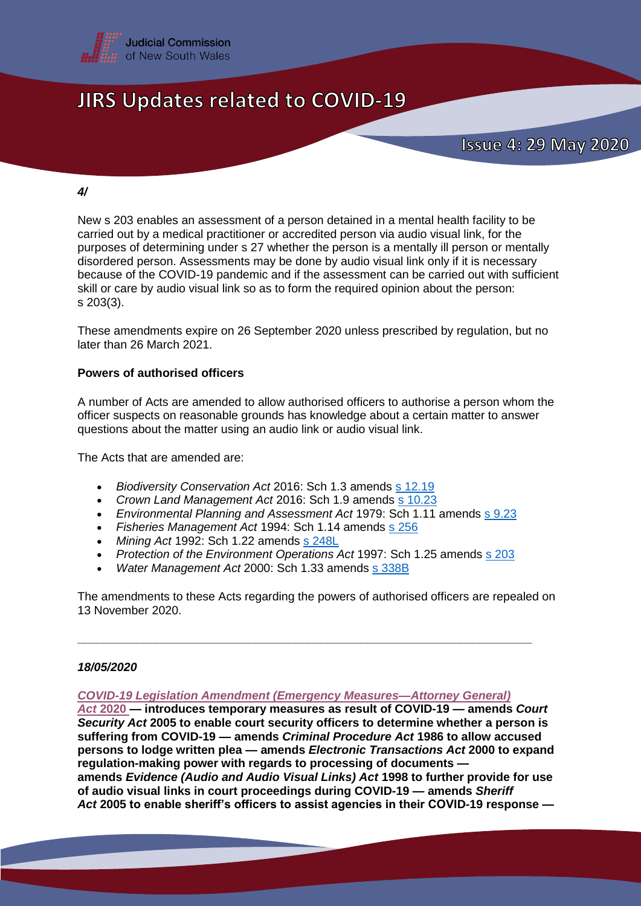

### *4/*

New s 203 enables an assessment of a person detained in a mental health facility to be carried out by a medical practitioner or accredited person via audio visual link, for the purposes of determining under s 27 whether the person is a mentally ill person or mentally disordered person. Assessments may be done by audio visual link only if it is necessary because of the COVID-19 pandemic and if the assessment can be carried out with sufficient skill or care by audio visual link so as to form the required opinion about the person: s 203(3).

These amendments expire on 26 September 2020 unless prescribed by regulation, but no later than 26 March 2021.

### **Powers of authorised officers**

A number of Acts are amended to allow authorised officers to authorise a person whom the officer suspects on reasonable grounds has knowledge about a certain matter to answer questions about the matter using an audio link or audio visual link.

The Acts that are amended are:

- *Biodiversity Conservation Act* 2016: Sch 1.3 amends s [12.19](https://www.legislation.nsw.gov.au/#/view/act/2016/63/whole)
- Crown Land Management Act 2016: Sch 1.9 amends s [10.23](https://www.legislation.nsw.gov.au/#/view/act/2016/58/part10/div10.6/sec10.23)
- *Environmental Planning and Assessment Act* 1979: Sch 1.11 amends s [9.23](https://www.legislation.nsw.gov.au/#/view/act/1979/203/whole)
- *Fisheries Management Act* 1994: Sch 1.14 amends s [256](https://legislation.nsw.gov.au/#/view/act/1994/38/historical2016-05-13/part9/div3/sec256)
- *Mining Act* 1992: Sch 1.22 amends s [248L](https://www.legislation.nsw.gov.au/#/view/act/1992/29/part12/div1b/sec248l)
- *Protection of the Environment Operations Act* 1997: Sch 1.25 amends s [203](https://www.legislation.nsw.gov.au/#/view/act/1997/156/chap7/part7.5/sec203)

**\_\_\_\_\_\_\_\_\_\_\_\_\_\_\_\_\_\_\_\_\_\_\_\_\_\_\_\_\_\_\_\_\_\_\_\_\_\_\_\_\_\_\_\_\_\_\_\_\_\_\_\_\_\_\_\_\_\_\_\_\_\_\_\_\_\_\_\_\_**

*Water Management Act* 2000: Sch 1.33 amends s [338B](https://legislation.nsw.gov.au/#/view/act/2000/92/chap7/part2/div2/sec338b)

The amendments to these Acts regarding the powers of authorised officers are repealed on 13 November 2020.

### *18/05/2020*

#### *[COVID-19 Legislation Amendment \(Emergency Measures—Attorney General\)](https://legislation.nsw.gov.au/#/view/act/2020/4/sch1)*

*Act* **[2020](https://legislation.nsw.gov.au/#/view/act/2020/4/sch1) — introduces temporary measures as result of COVID-19 — amends** *Court Security Act* **2005 to enable court security officers to determine whether a person is suffering from COVID-19 — amends** *Criminal Procedure Act* **1986 to allow accused persons to lodge written plea — amends** *Electronic Transactions Act* **2000 to expand regulation-making power with regards to processing of documents amends** *Evidence (Audio and Audio Visual Links) Act* **1998 to further provide for use of audio visual links in court proceedings during COVID-19 — amends** *Sheriff Act* **2005 to enable sheriff's officers to assist agencies in their COVID-19 response —**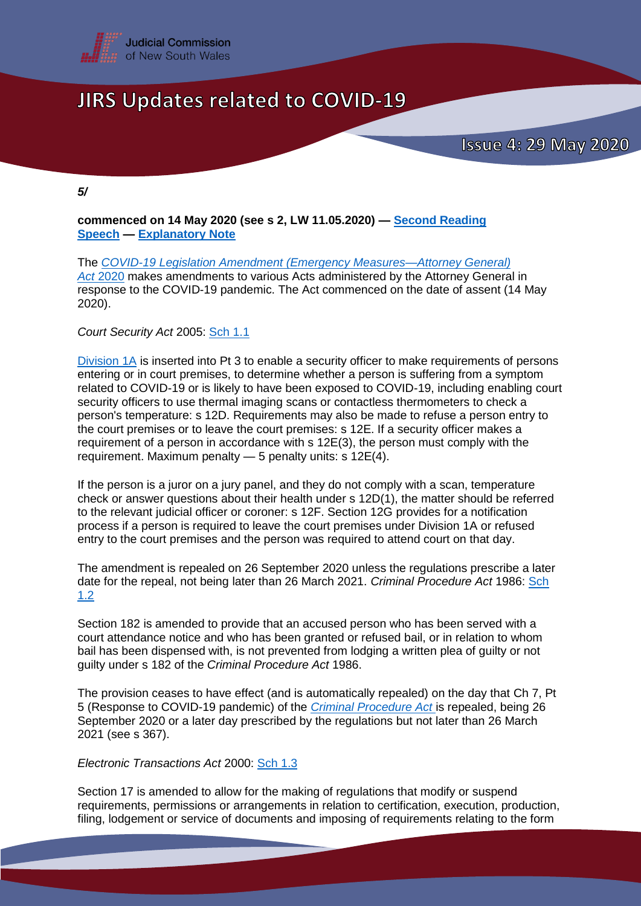

*5/*

**commenced on 14 May 2020 (see s 2, LW 11.05.2020) — [Second Reading](https://www.parliament.nsw.gov.au/Hansard/Pages/HansardResult.aspx#/docid/)  [Speech](https://www.parliament.nsw.gov.au/Hansard/Pages/HansardResult.aspx#/docid/) — [Explanatory Note](https://www.parliament.nsw.gov.au/bill/files/3746/XN%20COVID-19%20Legislation%20Amendment%20(Emergency%20Measures%E2%80%94Attorney%20General)%20Bill%202020.pdf)**

The *[COVID-19 Legislation Amendment \(Emergency Measures—Attorney General\)](https://legislation.nsw.gov.au/#/view/act/2020/4/sch1)  Act* [2020](https://legislation.nsw.gov.au/#/view/act/2020/4/sch1) makes amendments to various Acts administered by the Attorney General in response to the COVID-19 pandemic. The Act commenced on the date of assent (14 May 2020).

*Court Security Act* 2005: [Sch 1.1](https://legislation.nsw.gov.au/#/view/act/2020/4/sch1)

[Division 1A](https://legislation.nsw.gov.au/#/view/act/2020/4/sch1) is inserted into Pt 3 to enable a security officer to make requirements of persons entering or in court premises, to determine whether a person is suffering from a symptom related to COVID-19 or is likely to have been exposed to COVID-19, including enabling court security officers to use thermal imaging scans or contactless thermometers to check a person's temperature: s 12D. Requirements may also be made to refuse a person entry to the court premises or to leave the court premises: s 12E. If a security officer makes a requirement of a person in accordance with s 12E(3), the person must comply with the requirement. Maximum penalty — 5 penalty units: s 12E(4).

If the person is a juror on a jury panel, and they do not comply with a scan, temperature check or answer questions about their health under s 12D(1), the matter should be referred to the relevant judicial officer or coroner: s 12F. Section 12G provides for a notification process if a person is required to leave the court premises under Division 1A or refused entry to the court premises and the person was required to attend court on that day.

The amendment is repealed on 26 September 2020 unless the regulations prescribe a later date for the repeal, not being later than 26 March 2021. *Criminal Procedure Act* 1986: [Sch](https://legislation.nsw.gov.au/#/view/act/2020/4/sch1)  [1.2](https://legislation.nsw.gov.au/#/view/act/2020/4/sch1)

Section 182 is amended to provide that an accused person who has been served with a court attendance notice and who has been granted or refused bail, or in relation to whom bail has been dispensed with, is not prevented from lodging a written plea of guilty or not guilty under s 182 of the *Criminal Procedure Act* 1986.

The provision ceases to have effect (and is automatically repealed) on the day that Ch 7, Pt 5 (Response to COVID-19 pandemic) of the *[Criminal Procedure Act](http://classic.austlii.edu.au/au/legis/nsw/consol_act/cpa1986188/)* is repealed, being 26 September 2020 or a later day prescribed by the regulations but not later than 26 March 2021 (see s 367).

*Electronic Transactions Act* 2000: [Sch 1.3](https://legislation.nsw.gov.au/#/view/act/2020/4/sch1)

Section 17 is amended to allow for the making of regulations that modify or suspend requirements, permissions or arrangements in relation to certification, execution, production, filing, lodgement or service of documents and imposing of requirements relating to the form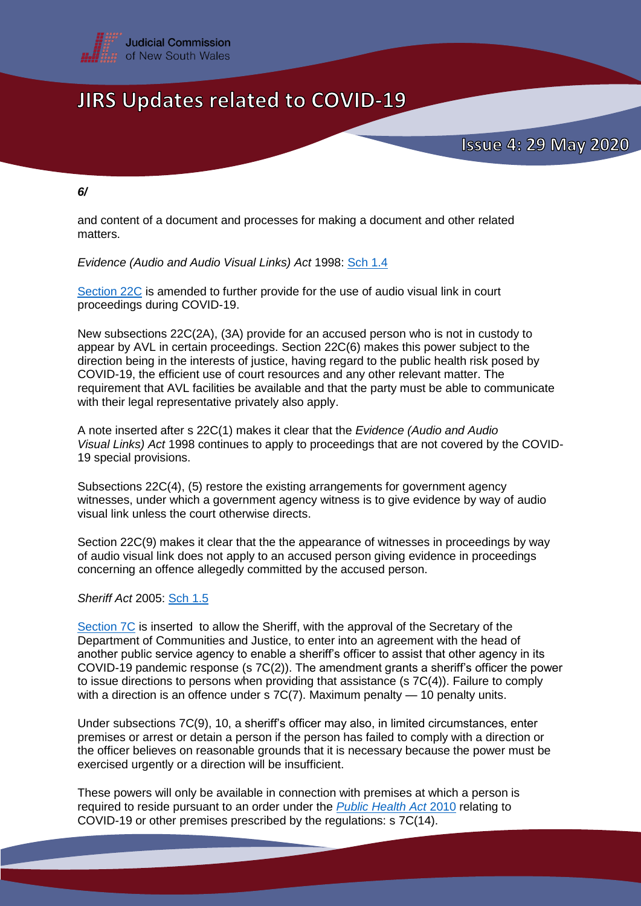

*6/*

and content of a document and processes for making a document and other related matters.

*Evidence (Audio and Audio Visual Links) Act* 1998: [Sch 1.4](https://legislation.nsw.gov.au/#/view/act/2020/4/sch1)

[Section 22C](https://legislation.nsw.gov.au/#/view/act/2020/4/sch1) is amended to further provide for the use of audio visual link in court proceedings during COVID-19.

New subsections 22C(2A), (3A) provide for an accused person who is not in custody to appear by AVL in certain proceedings. Section 22C(6) makes this power subject to the direction being in the interests of justice, having regard to the public health risk posed by COVID-19, the efficient use of court resources and any other relevant matter. The requirement that AVL facilities be available and that the party must be able to communicate with their legal representative privately also apply.

A note inserted after s 22C(1) makes it clear that the *Evidence (Audio and Audio Visual Links) Act* 1998 continues to apply to proceedings that are not covered by the COVID-19 special provisions.

Subsections 22C(4), (5) restore the existing arrangements for government agency witnesses, under which a government agency witness is to give evidence by way of audio visual link unless the court otherwise directs.

Section 22C(9) makes it clear that the the appearance of witnesses in proceedings by way of audio visual link does not apply to an accused person giving evidence in proceedings concerning an offence allegedly committed by the accused person.

*Sheriff Act* 2005: [Sch 1.5](https://legislation.nsw.gov.au/#/view/act/2020/4/sch1)

[Section 7C](https://legislation.nsw.gov.au/#/view/act/2020/4/sch1) is inserted to allow the Sheriff, with the approval of the Secretary of the Department of Communities and Justice, to enter into an agreement with the head of another public service agency to enable a sheriff's officer to assist that other agency in its COVID-19 pandemic response (s 7C(2)). The amendment grants a sheriff's officer the power to issue directions to persons when providing that assistance (s 7C(4)). Failure to comply with a direction is an offence under s 7C(7). Maximum penalty — 10 penalty units.

Under subsections 7C(9), 10, a sheriff's officer may also, in limited circumstances, enter premises or arrest or detain a person if the person has failed to comply with a direction or the officer believes on reasonable grounds that it is necessary because the power must be exercised urgently or a direction will be insufficient.

These powers will only be available in connection with premises at which a person is required to reside pursuant to an order under the *[Public Health Act](https://www.legislation.nsw.gov.au/#/view/act/2010/127)* 2010 relating to COVID-19 or other premises prescribed by the regulations: s 7C(14).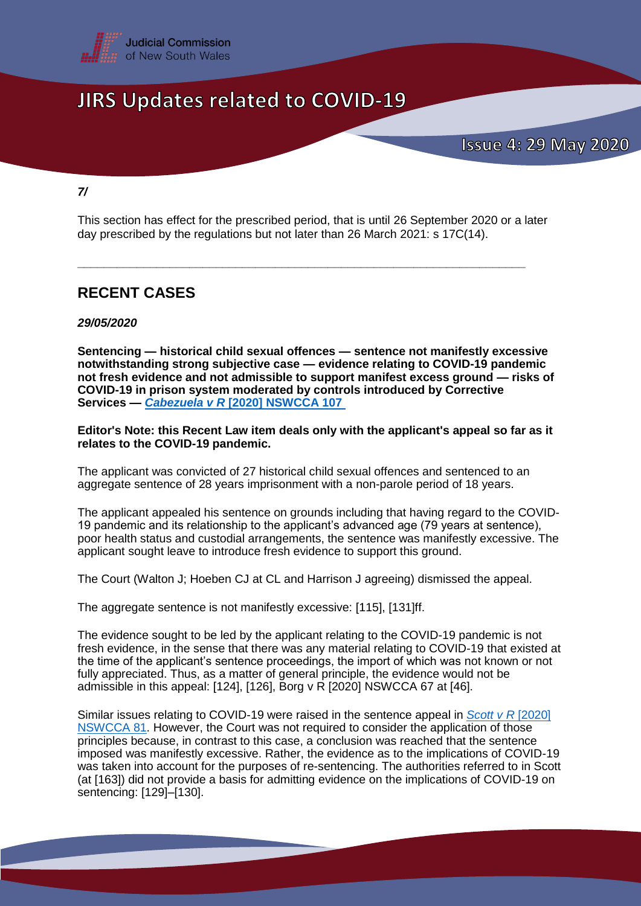

*7/*

This section has effect for the prescribed period, that is until 26 September 2020 or a later day prescribed by the regulations but not later than 26 March 2021: s 17C(14).

**\_\_\_\_\_\_\_\_\_\_\_\_\_\_\_\_\_\_\_\_\_\_\_\_\_\_\_\_\_\_\_\_\_\_\_\_\_\_\_\_\_\_\_\_\_\_\_\_\_\_\_\_\_\_\_\_\_\_\_\_\_\_\_\_\_\_\_\_**

### **RECENT CASES**

### *29/05/2020*

**Sentencing — historical child sexual offences — sentence not manifestly excessive notwithstanding strong subjective case — evidence relating to COVID-19 pandemic not fresh evidence and not admissible to support manifest excess ground — risks of COVID-19 in prison system moderated by controls introduced by Corrective Services —** *Cabezuela v R* **[\[2020\] NSWCCA 107](http://www.austlii.edu.au/cgi-bin/viewdoc/au/cases/nsw/NSWCCA/2020/107.html)**

**Editor's Note: this Recent Law item deals only with the applicant's appeal so far as it relates to the COVID-19 pandemic.**

The applicant was convicted of 27 historical child sexual offences and sentenced to an aggregate sentence of 28 years imprisonment with a non-parole period of 18 years.

The applicant appealed his sentence on grounds including that having regard to the COVID-19 pandemic and its relationship to the applicant's advanced age (79 years at sentence), poor health status and custodial arrangements, the sentence was manifestly excessive. The applicant sought leave to introduce fresh evidence to support this ground.

The Court (Walton J; Hoeben CJ at CL and Harrison J agreeing) dismissed the appeal.

The aggregate sentence is not manifestly excessive: [115], [131]ff.

The evidence sought to be led by the applicant relating to the COVID-19 pandemic is not fresh evidence, in the sense that there was any material relating to COVID-19 that existed at the time of the applicant's sentence proceedings, the import of which was not known or not fully appreciated. Thus, as a matter of general principle, the evidence would not be admissible in this appeal: [124], [126], Borg v R [2020] NSWCCA 67 at [46].

Similar issues relating to COVID-19 were raised in the sentence appeal in *Scott v R* [\[2020\]](https://www.caselaw.nsw.gov.au/decision/5ea619e3e4b0f66047ed8d41)  [NSWCCA 81.](https://www.caselaw.nsw.gov.au/decision/5ea619e3e4b0f66047ed8d41) However, the Court was not required to consider the application of those principles because, in contrast to this case, a conclusion was reached that the sentence imposed was manifestly excessive. Rather, the evidence as to the implications of COVID-19 was taken into account for the purposes of re-sentencing. The authorities referred to in Scott (at [163]) did not provide a basis for admitting evidence on the implications of COVID-19 on sentencing: [129]–[130].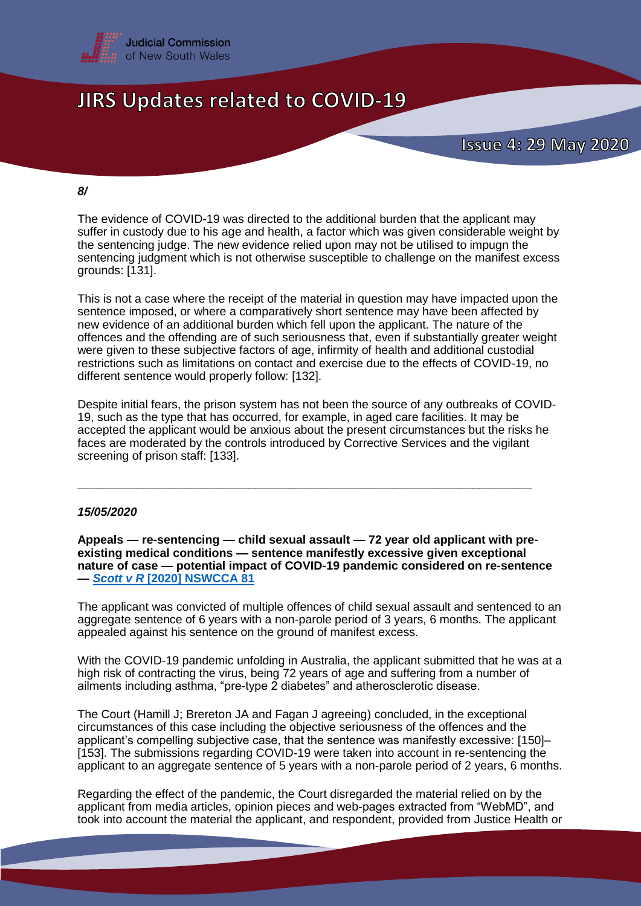

#### *8/*

The evidence of COVID-19 was directed to the additional burden that the applicant may suffer in custody due to his age and health, a factor which was given considerable weight by the sentencing judge. The new evidence relied upon may not be utilised to impugn the sentencing judgment which is not otherwise susceptible to challenge on the manifest excess grounds: [131].

This is not a case where the receipt of the material in question may have impacted upon the sentence imposed, or where a comparatively short sentence may have been affected by new evidence of an additional burden which fell upon the applicant. The nature of the offences and the offending are of such seriousness that, even if substantially greater weight were given to these subjective factors of age, infirmity of health and additional custodial restrictions such as limitations on contact and exercise due to the effects of COVID-19, no different sentence would properly follow: [132].

Despite initial fears, the prison system has not been the source of any outbreaks of COVID-19, such as the type that has occurred, for example, in aged care facilities. It may be accepted the applicant would be anxious about the present circumstances but the risks he faces are moderated by the controls introduced by Corrective Services and the vigilant screening of prison staff: [133].

**\_\_\_\_\_\_\_\_\_\_\_\_\_\_\_\_\_\_\_\_\_\_\_\_\_\_\_\_\_\_\_\_\_\_\_\_\_\_\_\_\_\_\_\_\_\_\_\_\_\_\_\_\_\_\_\_\_\_\_\_\_\_\_\_\_\_\_\_\_**

### *15/05/2020*

**Appeals — re-sentencing — child sexual assault — 72 year old applicant with preexisting medical conditions — sentence manifestly excessive given exceptional nature of case — potential impact of COVID-19 pandemic considered on re-sentence —** *Scott v R* **[\[2020\] NSWCCA 81](https://www.caselaw.nsw.gov.au/decision/5ea619e3e4b0f66047ed8d41)**

The applicant was convicted of multiple offences of child sexual assault and sentenced to an aggregate sentence of 6 years with a non-parole period of 3 years, 6 months. The applicant appealed against his sentence on the ground of manifest excess.

With the COVID-19 pandemic unfolding in Australia, the applicant submitted that he was at a high risk of contracting the virus, being 72 years of age and suffering from a number of ailments including asthma, "pre-type 2 diabetes" and atherosclerotic disease.

The Court (Hamill J; Brereton JA and Fagan J agreeing) concluded, in the exceptional circumstances of this case including the objective seriousness of the offences and the applicant's compelling subjective case, that the sentence was manifestly excessive: [150]– [153]. The submissions regarding COVID-19 were taken into account in re-sentencing the applicant to an aggregate sentence of 5 years with a non-parole period of 2 years, 6 months.

Regarding the effect of the pandemic, the Court disregarded the material relied on by the applicant from media articles, opinion pieces and web-pages extracted from "WebMD", and took into account the material the applicant, and respondent, provided from Justice Health or